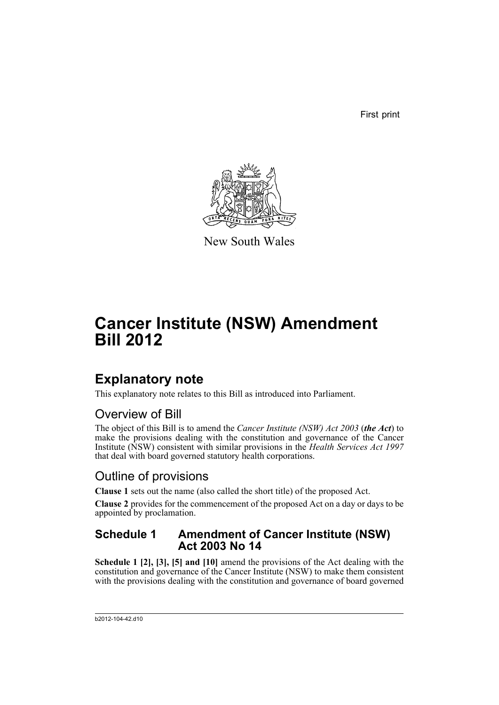First print



New South Wales

# **Cancer Institute (NSW) Amendment Bill 2012**

# **Explanatory note**

This explanatory note relates to this Bill as introduced into Parliament.

## Overview of Bill

The object of this Bill is to amend the *Cancer Institute (NSW) Act 2003* (*the Act*) to make the provisions dealing with the constitution and governance of the Cancer Institute (NSW) consistent with similar provisions in the *Health Services Act 1997* that deal with board governed statutory health corporations.

## Outline of provisions

**Clause 1** sets out the name (also called the short title) of the proposed Act.

**Clause 2** provides for the commencement of the proposed Act on a day or days to be appointed by proclamation.

## **Schedule 1 Amendment of Cancer Institute (NSW) Act 2003 No 14**

**Schedule 1 [2], [3], [5] and [10]** amend the provisions of the Act dealing with the constitution and governance of the Cancer Institute (NSW) to make them consistent with the provisions dealing with the constitution and governance of board governed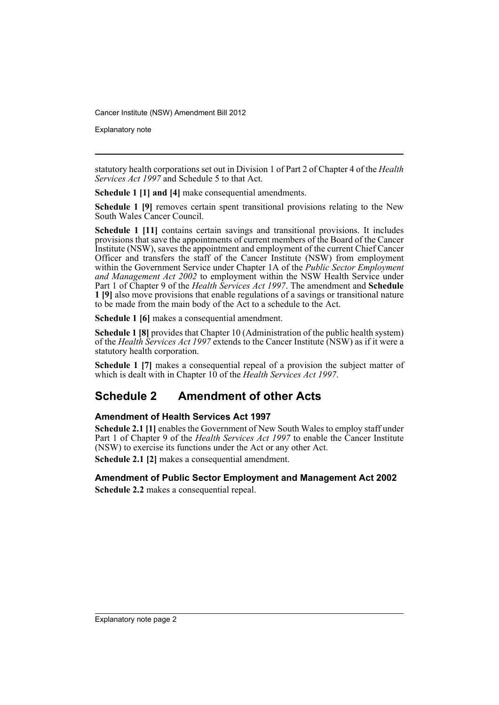Explanatory note

statutory health corporations set out in Division 1 of Part 2 of Chapter 4 of the *Health Services Act 1997* and Schedule 5 to that Act.

**Schedule 1 [1] and [4]** make consequential amendments.

**Schedule 1 [9]** removes certain spent transitional provisions relating to the New South Wales Cancer Council.

**Schedule 1 [11]** contains certain savings and transitional provisions. It includes provisions that save the appointments of current members of the Board of the Cancer Institute (NSW), saves the appointment and employment of the current Chief Cancer Officer and transfers the staff of the Cancer Institute (NSW) from employment within the Government Service under Chapter 1A of the *Public Sector Employment and Management Act 2002* to employment within the NSW Health Service under Part 1 of Chapter 9 of the *Health Services Act 1997*. The amendment and **Schedule 1 [9]** also move provisions that enable regulations of a savings or transitional nature to be made from the main body of the Act to a schedule to the Act.

**Schedule 1 [6]** makes a consequential amendment.

**Schedule 1 [8]** provides that Chapter 10 (Administration of the public health system) of the *Health Services Act 1997* extends to the Cancer Institute (NSW) as if it were a statutory health corporation.

**Schedule 1 [7]** makes a consequential repeal of a provision the subject matter of which is dealt with in Chapter 10 of the *Health Services Act 1997*.

## **Schedule 2 Amendment of other Acts**

#### **Amendment of Health Services Act 1997**

**Schedule 2.1 [1]** enables the Government of New South Wales to employ staff under Part 1 of Chapter 9 of the *Health Services Act 1997* to enable the Cancer Institute (NSW) to exercise its functions under the Act or any other Act.

**Schedule 2.1 [2]** makes a consequential amendment.

## **Amendment of Public Sector Employment and Management Act 2002**

**Schedule 2.2** makes a consequential repeal.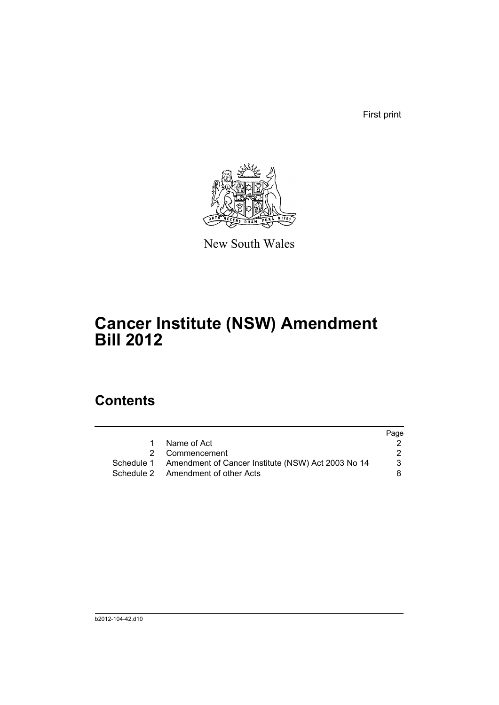First print



New South Wales

# **Cancer Institute (NSW) Amendment Bill 2012**

## **Contents**

|                                                               | Page |
|---------------------------------------------------------------|------|
| Name of Act                                                   |      |
| 2 Commencement                                                |      |
| Schedule 1 Amendment of Cancer Institute (NSW) Act 2003 No 14 | 3    |
| Schedule 2 Amendment of other Acts                            | 8.   |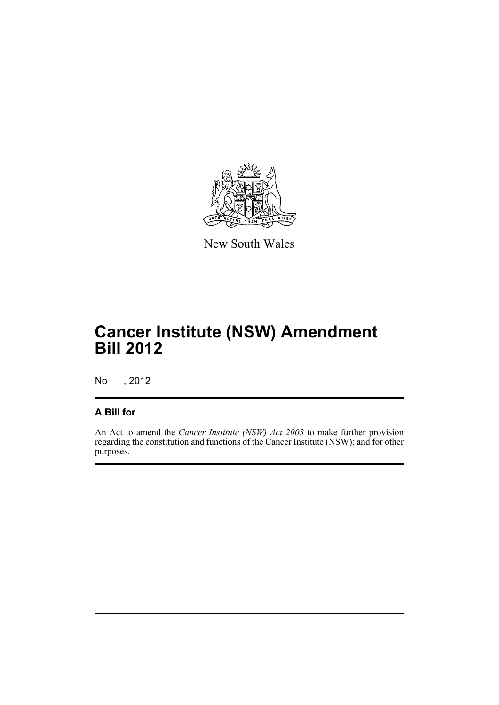

New South Wales

# **Cancer Institute (NSW) Amendment Bill 2012**

No , 2012

### **A Bill for**

An Act to amend the *Cancer Institute (NSW) Act 2003* to make further provision regarding the constitution and functions of the Cancer Institute (NSW); and for other purposes.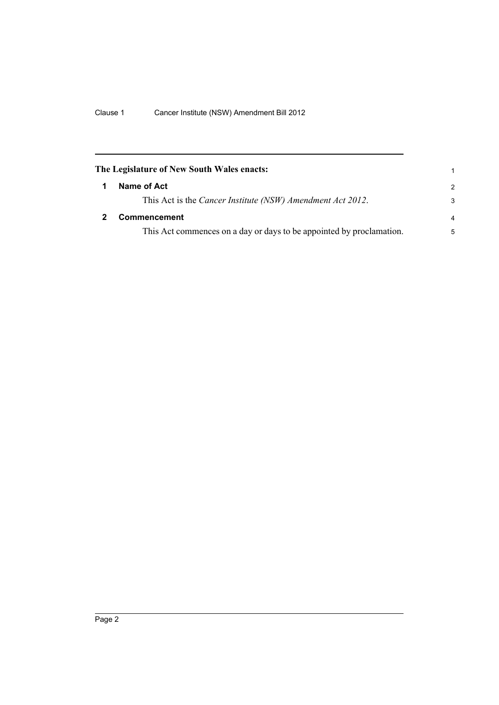<span id="page-5-1"></span><span id="page-5-0"></span>

| The Legislature of New South Wales enacts:                           | 1             |
|----------------------------------------------------------------------|---------------|
| Name of Act                                                          | $\mathcal{P}$ |
| This Act is the Cancer Institute (NSW) Amendment Act 2012.           | 3             |
| Commencement                                                         | 4             |
| This Act commences on a day or days to be appointed by proclamation. | 5             |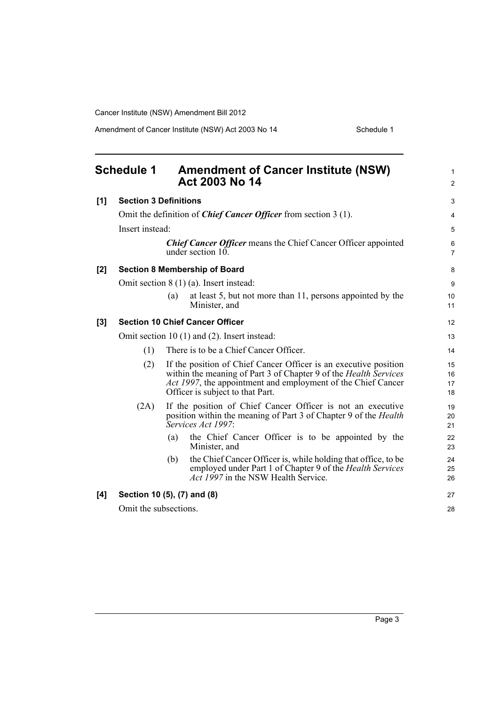Amendment of Cancer Institute (NSW) Act 2003 No 14 Schedule 1

<span id="page-6-0"></span>

| <b>Schedule 1</b> |                              | <b>Amendment of Cancer Institute (NSW)</b><br>Act 2003 No 14                                                                                                                                                                                     | 1<br>$\overline{2}$  |
|-------------------|------------------------------|--------------------------------------------------------------------------------------------------------------------------------------------------------------------------------------------------------------------------------------------------|----------------------|
| [1]               | <b>Section 3 Definitions</b> |                                                                                                                                                                                                                                                  | 3                    |
|                   |                              | Omit the definition of <i>Chief Cancer Officer</i> from section 3 (1).                                                                                                                                                                           | 4                    |
|                   | Insert instead:              |                                                                                                                                                                                                                                                  | 5                    |
|                   |                              | <b>Chief Cancer Officer</b> means the Chief Cancer Officer appointed<br>under section 10.                                                                                                                                                        | 6<br>$\overline{7}$  |
| [2]               |                              | <b>Section 8 Membership of Board</b>                                                                                                                                                                                                             | 8                    |
|                   |                              | Omit section $8(1)(a)$ . Insert instead:                                                                                                                                                                                                         | 9                    |
|                   |                              | at least 5, but not more than 11, persons appointed by the<br>(a)<br>Minister, and                                                                                                                                                               | 10<br>11             |
| [3]               |                              | <b>Section 10 Chief Cancer Officer</b>                                                                                                                                                                                                           | 12                   |
|                   |                              | Omit section $10(1)$ and $(2)$ . Insert instead:                                                                                                                                                                                                 | 13                   |
|                   | (1)                          | There is to be a Chief Cancer Officer.                                                                                                                                                                                                           | 14                   |
|                   | (2)                          | If the position of Chief Cancer Officer is an executive position<br>within the meaning of Part 3 of Chapter 9 of the Health Services<br><i>Act 1997</i> , the appointment and employment of the Chief Cancer<br>Officer is subject to that Part. | 15<br>16<br>17<br>18 |
|                   | (2A)                         | If the position of Chief Cancer Officer is not an executive<br>position within the meaning of Part 3 of Chapter 9 of the <i>Health</i><br>Services Act 1997:                                                                                     | 19<br>20<br>21       |
|                   |                              | the Chief Cancer Officer is to be appointed by the<br>(a)<br>Minister, and                                                                                                                                                                       | 22<br>23             |
|                   |                              | the Chief Cancer Officer is, while holding that office, to be<br>(b)<br>employed under Part 1 of Chapter 9 of the Health Services<br><i>Act 1997</i> in the NSW Health Service.                                                                  | 24<br>25<br>26       |
| [4]               |                              | Section 10 (5), (7) and (8)                                                                                                                                                                                                                      | 27                   |
|                   | Omit the subsections.        |                                                                                                                                                                                                                                                  | 28                   |
|                   |                              |                                                                                                                                                                                                                                                  |                      |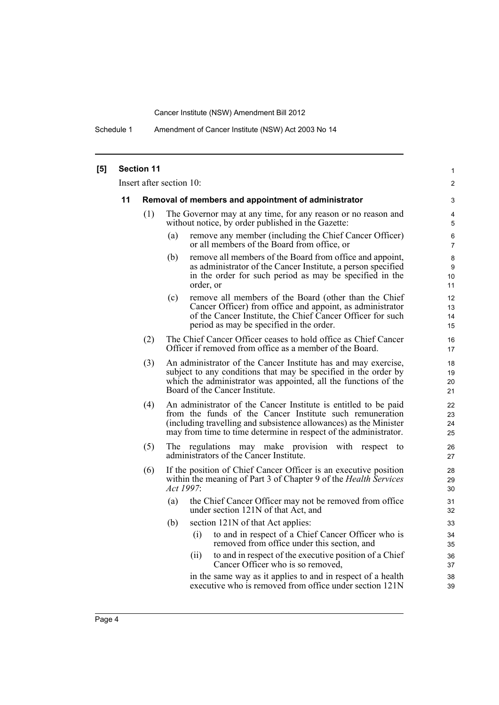Schedule 1 Amendment of Cancer Institute (NSW) Act 2003 No 14

| [5] |                          | <b>Section 11</b> |                                                                                                                                                                                                                                                                      | 1                    |
|-----|--------------------------|-------------------|----------------------------------------------------------------------------------------------------------------------------------------------------------------------------------------------------------------------------------------------------------------------|----------------------|
|     | Insert after section 10: |                   | 2                                                                                                                                                                                                                                                                    |                      |
|     | 11                       |                   | Removal of members and appointment of administrator                                                                                                                                                                                                                  | 3                    |
|     |                          | (1)               | The Governor may at any time, for any reason or no reason and<br>without notice, by order published in the Gazette:                                                                                                                                                  | 4<br>5               |
|     |                          |                   | (a)<br>remove any member (including the Chief Cancer Officer)<br>or all members of the Board from office, or                                                                                                                                                         | 6<br>$\overline{7}$  |
|     |                          |                   | remove all members of the Board from office and appoint,<br>(b)<br>as administrator of the Cancer Institute, a person specified<br>in the order for such period as may be specified in the<br>order, or                                                              | 8<br>9<br>10<br>11   |
|     |                          |                   | remove all members of the Board (other than the Chief<br>(c)<br>Cancer Officer) from office and appoint, as administrator<br>of the Cancer Institute, the Chief Cancer Officer for such<br>period as may be specified in the order.                                  | 12<br>13<br>14<br>15 |
|     |                          | (2)               | The Chief Cancer Officer ceases to hold office as Chief Cancer<br>Officer if removed from office as a member of the Board.                                                                                                                                           | 16<br>17             |
|     |                          | (3)               | An administrator of the Cancer Institute has and may exercise,<br>subject to any conditions that may be specified in the order by<br>which the administrator was appointed, all the functions of the<br>Board of the Cancer Institute.                               | 18<br>19<br>20<br>21 |
|     |                          | (4)               | An administrator of the Cancer Institute is entitled to be paid<br>from the funds of the Cancer Institute such remuneration<br>(including travelling and subsistence allowances) as the Minister<br>may from time to time determine in respect of the administrator. | 22<br>23<br>24<br>25 |
|     |                          | (5)               | The regulations may make provision with respect to<br>administrators of the Cancer Institute.                                                                                                                                                                        | 26<br>27             |
|     |                          | (6)               | If the position of Chief Cancer Officer is an executive position<br>within the meaning of Part 3 of Chapter 9 of the <i>Health Services</i><br>Act 1997:                                                                                                             | 28<br>29<br>30       |
|     |                          |                   | (a)<br>the Chief Cancer Officer may not be removed from office<br>under section 121N of that Act, and                                                                                                                                                                | 31<br>32             |
|     |                          |                   | (b)<br>section 121N of that Act applies:                                                                                                                                                                                                                             | 33                   |
|     |                          |                   | to and in respect of a Chief Cancer Officer who is<br>(i)<br>removed from office under this section, and                                                                                                                                                             | 34<br>35             |
|     |                          |                   | to and in respect of the executive position of a Chief<br>(i)<br>Cancer Officer who is so removed,                                                                                                                                                                   | 36<br>37             |
|     |                          |                   | in the same way as it applies to and in respect of a health<br>executive who is removed from office under section 121N                                                                                                                                               | 38<br>39             |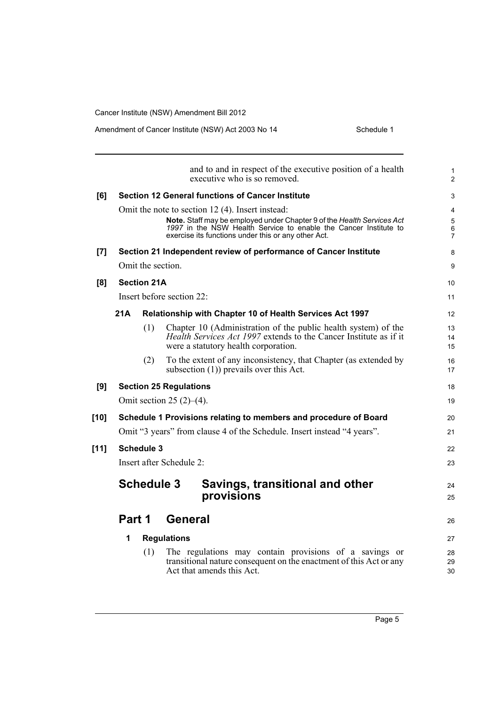| and to and in respect of the executive position of a health<br>executive who is so removed.<br><b>Section 12 General functions of Cancer Institute</b><br>[6]<br>Omit the note to section 12 (4). Insert instead:<br>Note. Staff may be employed under Chapter 9 of the Health Services Act<br>1997 in the NSW Health Service to enable the Cancer Institute to<br>exercise its functions under this or any other Act.<br>Section 21 Independent review of performance of Cancer Institute<br>[7]<br>Omit the section.<br><b>Section 21A</b><br>[8]<br>Insert before section 22:<br>21A<br><b>Relationship with Chapter 10 of Health Services Act 1997</b><br>Chapter 10 (Administration of the public health system) of the<br>(1)<br><i>Health Services Act 1997</i> extends to the Cancer Institute as if it<br>were a statutory health corporation.<br>(2)<br>To the extent of any inconsistency, that Chapter (as extended by<br>subsection $(1)$ ) prevails over this Act.<br>[9]<br><b>Section 25 Regulations</b><br>Omit section 25 $(2)$ – $(4)$ .<br>Schedule 1 Provisions relating to members and procedure of Board<br>Omit "3 years" from clause 4 of the Schedule. Insert instead "4 years". |  |
|------------------------------------------------------------------------------------------------------------------------------------------------------------------------------------------------------------------------------------------------------------------------------------------------------------------------------------------------------------------------------------------------------------------------------------------------------------------------------------------------------------------------------------------------------------------------------------------------------------------------------------------------------------------------------------------------------------------------------------------------------------------------------------------------------------------------------------------------------------------------------------------------------------------------------------------------------------------------------------------------------------------------------------------------------------------------------------------------------------------------------------------------------------------------------------------------------------|--|
|                                                                                                                                                                                                                                                                                                                                                                                                                                                                                                                                                                                                                                                                                                                                                                                                                                                                                                                                                                                                                                                                                                                                                                                                            |  |
|                                                                                                                                                                                                                                                                                                                                                                                                                                                                                                                                                                                                                                                                                                                                                                                                                                                                                                                                                                                                                                                                                                                                                                                                            |  |
|                                                                                                                                                                                                                                                                                                                                                                                                                                                                                                                                                                                                                                                                                                                                                                                                                                                                                                                                                                                                                                                                                                                                                                                                            |  |
|                                                                                                                                                                                                                                                                                                                                                                                                                                                                                                                                                                                                                                                                                                                                                                                                                                                                                                                                                                                                                                                                                                                                                                                                            |  |
|                                                                                                                                                                                                                                                                                                                                                                                                                                                                                                                                                                                                                                                                                                                                                                                                                                                                                                                                                                                                                                                                                                                                                                                                            |  |
|                                                                                                                                                                                                                                                                                                                                                                                                                                                                                                                                                                                                                                                                                                                                                                                                                                                                                                                                                                                                                                                                                                                                                                                                            |  |
|                                                                                                                                                                                                                                                                                                                                                                                                                                                                                                                                                                                                                                                                                                                                                                                                                                                                                                                                                                                                                                                                                                                                                                                                            |  |
|                                                                                                                                                                                                                                                                                                                                                                                                                                                                                                                                                                                                                                                                                                                                                                                                                                                                                                                                                                                                                                                                                                                                                                                                            |  |
| $[10]$                                                                                                                                                                                                                                                                                                                                                                                                                                                                                                                                                                                                                                                                                                                                                                                                                                                                                                                                                                                                                                                                                                                                                                                                     |  |
|                                                                                                                                                                                                                                                                                                                                                                                                                                                                                                                                                                                                                                                                                                                                                                                                                                                                                                                                                                                                                                                                                                                                                                                                            |  |
|                                                                                                                                                                                                                                                                                                                                                                                                                                                                                                                                                                                                                                                                                                                                                                                                                                                                                                                                                                                                                                                                                                                                                                                                            |  |
|                                                                                                                                                                                                                                                                                                                                                                                                                                                                                                                                                                                                                                                                                                                                                                                                                                                                                                                                                                                                                                                                                                                                                                                                            |  |
|                                                                                                                                                                                                                                                                                                                                                                                                                                                                                                                                                                                                                                                                                                                                                                                                                                                                                                                                                                                                                                                                                                                                                                                                            |  |
|                                                                                                                                                                                                                                                                                                                                                                                                                                                                                                                                                                                                                                                                                                                                                                                                                                                                                                                                                                                                                                                                                                                                                                                                            |  |
|                                                                                                                                                                                                                                                                                                                                                                                                                                                                                                                                                                                                                                                                                                                                                                                                                                                                                                                                                                                                                                                                                                                                                                                                            |  |
|                                                                                                                                                                                                                                                                                                                                                                                                                                                                                                                                                                                                                                                                                                                                                                                                                                                                                                                                                                                                                                                                                                                                                                                                            |  |
| <b>Schedule 3</b><br>$[11]$                                                                                                                                                                                                                                                                                                                                                                                                                                                                                                                                                                                                                                                                                                                                                                                                                                                                                                                                                                                                                                                                                                                                                                                |  |
| Insert after Schedule 2:                                                                                                                                                                                                                                                                                                                                                                                                                                                                                                                                                                                                                                                                                                                                                                                                                                                                                                                                                                                                                                                                                                                                                                                   |  |
| <b>Schedule 3</b><br>Savings, transitional and other<br>provisions                                                                                                                                                                                                                                                                                                                                                                                                                                                                                                                                                                                                                                                                                                                                                                                                                                                                                                                                                                                                                                                                                                                                         |  |
| Part 1<br><b>General</b>                                                                                                                                                                                                                                                                                                                                                                                                                                                                                                                                                                                                                                                                                                                                                                                                                                                                                                                                                                                                                                                                                                                                                                                   |  |
| 1<br><b>Regulations</b>                                                                                                                                                                                                                                                                                                                                                                                                                                                                                                                                                                                                                                                                                                                                                                                                                                                                                                                                                                                                                                                                                                                                                                                    |  |
| The regulations may contain provisions of a savings or<br>(1)<br>transitional nature consequent on the enactment of this Act or any<br>Act that amends this Act.                                                                                                                                                                                                                                                                                                                                                                                                                                                                                                                                                                                                                                                                                                                                                                                                                                                                                                                                                                                                                                           |  |

Amendment of Cancer Institute (NSW) Act 2003 No 14 Schedule 1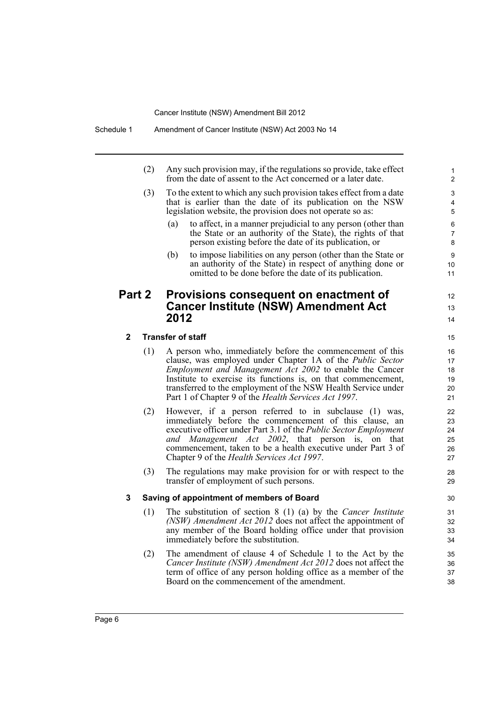(2) Any such provision may, if the regulations so provide, take effect from the date of assent to the Act concerned or a later date. (3) To the extent to which any such provision takes effect from a date that is earlier than the date of its publication on the NSW legislation website, the provision does not operate so as:

12 13 14

- (a) to affect, in a manner prejudicial to any person (other than the State or an authority of the State), the rights of that person existing before the date of its publication, or
- (b) to impose liabilities on any person (other than the State or an authority of the State) in respect of anything done or omitted to be done before the date of its publication.

### **Part 2 Provisions consequent on enactment of Cancer Institute (NSW) Amendment Act 2012**

#### **2 Transfer of staff**

- (1) A person who, immediately before the commencement of this clause, was employed under Chapter 1A of the *Public Sector Employment and Management Act 2002* to enable the Cancer Institute to exercise its functions is, on that commencement, transferred to the employment of the NSW Health Service under Part 1 of Chapter 9 of the *Health Services Act 1997*.
- (2) However, if a person referred to in subclause (1) was, immediately before the commencement of this clause, an executive officer under Part 3.1 of the *Public Sector Employment and Management Act 2002*, that person is, on that commencement, taken to be a health executive under Part 3 of Chapter 9 of the *Health Services Act 1997*.
- (3) The regulations may make provision for or with respect to the transfer of employment of such persons.

#### **3 Saving of appointment of members of Board**

- (1) The substitution of section 8 (1) (a) by the *Cancer Institute (NSW) Amendment Act 2012* does not affect the appointment of any member of the Board holding office under that provision immediately before the substitution.
- (2) The amendment of clause 4 of Schedule 1 to the Act by the *Cancer Institute (NSW) Amendment Act 2012* does not affect the term of office of any person holding office as a member of the Board on the commencement of the amendment.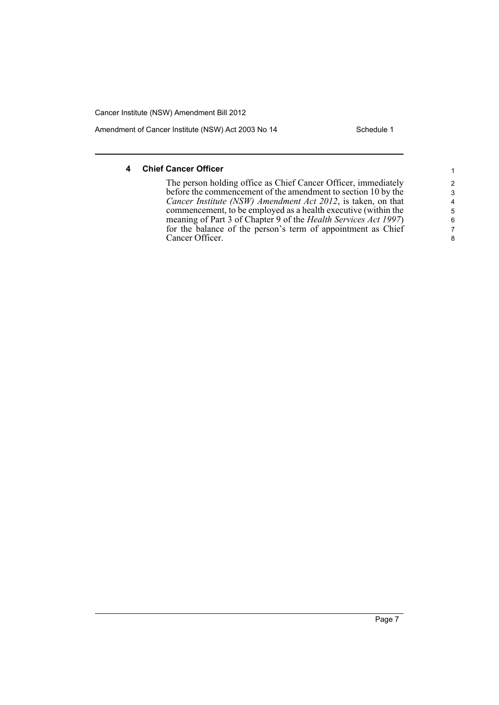Amendment of Cancer Institute (NSW) Act 2003 No 14 Schedule 1

#### **4 Chief Cancer Officer**

The person holding office as Chief Cancer Officer, immediately before the commencement of the amendment to section 10 by the *Cancer Institute (NSW) Amendment Act 2012*, is taken, on that commencement, to be employed as a health executive (within the meaning of Part 3 of Chapter 9 of the *Health Services Act 1997*) for the balance of the person's term of appointment as Chief Cancer Officer.